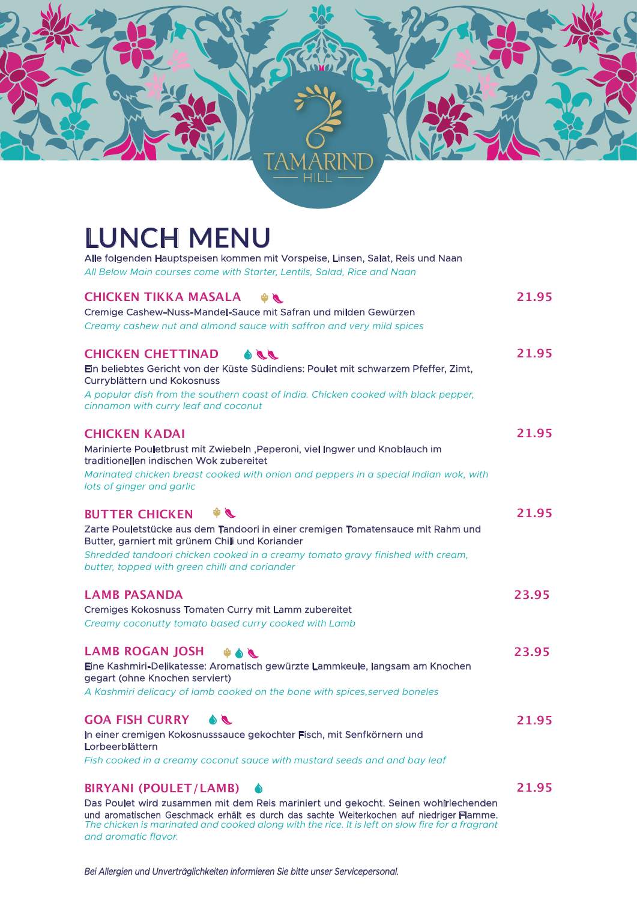## **LUNCH MENU**

| Alle folgenden Hauptspeisen kommen mit Vorspeise, Linsen, Salat, Reis und Naan                                                                                                              |       |
|---------------------------------------------------------------------------------------------------------------------------------------------------------------------------------------------|-------|
| All Below Main courses come with Starter, Lentils, Salad, Rice and Naan                                                                                                                     |       |
| <b>CHICKEN TIKKA MASALA</b><br>$\bullet$                                                                                                                                                    | 21.95 |
| Cremige Cashew-Nuss-Mandel-Sauce mit Safran und milden Gewürzen                                                                                                                             |       |
| Creamy cashew nut and almond sauce with saffron and very mild spices                                                                                                                        |       |
| <b>CHICKEN CHETTINAD</b><br>$\bullet\bullet\bullet$                                                                                                                                         | 21.95 |
| Ein beliebtes Gericht von der Küste Südindiens: Poulet mit schwarzem Pfeffer, Zimt,<br>Curryblättern und Kokosnuss                                                                          |       |
| A popular dish from the southern coast of India. Chicken cooked with black pepper,<br>cinnamon with curry leaf and coconut                                                                  |       |
| <b>CHICKEN KADAI</b>                                                                                                                                                                        | 21.95 |
| Marinierte Pouletbrust mit Zwiebeln , Peperoni, viel Ingwer und Knoblauch im<br>traditionellen indischen Wok zubereitet                                                                     |       |
| Marinated chicken breast cooked with onion and peppers in a special Indian wok, with                                                                                                        |       |
| lots of ginger and garlic                                                                                                                                                                   |       |
| $\phi$<br><b>BUTTER CHICKEN</b>                                                                                                                                                             | 21.95 |
| Zarte Pouletstücke aus dem Tandoori in einer cremigen Tomatensauce mit Rahm und                                                                                                             |       |
| Butter, garniert mit grünem Chili und Koriander                                                                                                                                             |       |
| Shredded tandoori chicken cooked in a creamy tomato gravy finished with cream,<br>butter, topped with green chilli and coriander                                                            |       |
| <b>LAMB PASANDA</b>                                                                                                                                                                         | 23.95 |
| Cremiges Kokosnuss Tomaten Curry mit Lamm zubereitet                                                                                                                                        |       |
| Creamy coconutty tomato based curry cooked with Lamb                                                                                                                                        |       |
| <b>LAMB ROGAN JOSH</b><br>$\bullet \bullet \bullet$                                                                                                                                         | 23.95 |
| Eine Kashmiri-Delikatesse: Aromatisch gewürzte Lammkeule, langsam am Knochen<br>gegart (ohne Knochen serviert)                                                                              |       |
| A Kashmiri delicacy of lamb cooked on the bone with spices, served boneles                                                                                                                  |       |
| <b>GOA FISH CURRY</b><br>$\bullet$                                                                                                                                                          | 21.95 |
| In einer cremigen Kokosnusssauce gekochter Fisch, mit Senfkörnern und<br>Lorbeerblättern                                                                                                    |       |
| Fish cooked in a creamy coconut sauce with mustard seeds and and bay leaf                                                                                                                   |       |
| <b>BIRYANI (POULET/LAMB)</b>                                                                                                                                                                | 21.95 |
| Das Poulet wird zusammen mit dem Reis mariniert und gekocht. Seinen wohlriechenden                                                                                                          |       |
| und aromatischen Geschmack erhält es durch das sachte Weiterkochen auf niedriger Flamme.<br>The chicken is marinated and cooked along with the rice. It is left on slow fire for a fragrant |       |

*Bei Allergien und Unverträglichkeiten informieren Sie bitte unser Servicepersonal.*

*and aromatic flavor.*